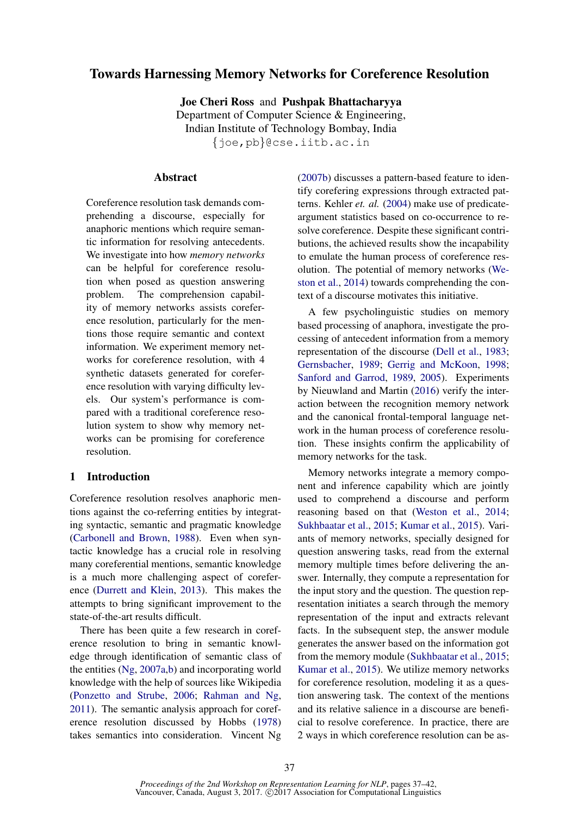# Towards Harnessing Memory Networks for Coreference Resolution

Joe Cheri Ross and Pushpak Bhattacharyya Department of Computer Science & Engineering, Indian Institute of Technology Bombay, India {joe,pb}@cse.iitb.ac.in

## Abstract

Coreference resolution task demands comprehending a discourse, especially for anaphoric mentions which require semantic information for resolving antecedents. We investigate into how *memory networks* can be helpful for coreference resolution when posed as question answering problem. The comprehension capability of memory networks assists coreference resolution, particularly for the mentions those require semantic and context information. We experiment memory networks for coreference resolution, with 4 synthetic datasets generated for coreference resolution with varying difficulty levels. Our system's performance is compared with a traditional coreference resolution system to show why memory networks can be promising for coreference resolution.

# 1 Introduction

Coreference resolution resolves anaphoric mentions against the co-referring entities by integrating syntactic, semantic and pragmatic knowledge (Carbonell and Brown, 1988). Even when syntactic knowledge has a crucial role in resolving many coreferential mentions, semantic knowledge is a much more challenging aspect of coreference (Durrett and Klein, 2013). This makes the attempts to bring significant improvement to the state-of-the-art results difficult.

There has been quite a few research in coreference resolution to bring in semantic knowledge through identification of semantic class of the entities (Ng, 2007a,b) and incorporating world knowledge with the help of sources like Wikipedia (Ponzetto and Strube, 2006; Rahman and Ng, 2011). The semantic analysis approach for coreference resolution discussed by Hobbs (1978) takes semantics into consideration. Vincent Ng (2007b) discusses a pattern-based feature to identify corefering expressions through extracted patterns. Kehler *et. al.* (2004) make use of predicateargument statistics based on co-occurrence to resolve coreference. Despite these significant contributions, the achieved results show the incapability to emulate the human process of coreference resolution. The potential of memory networks (Weston et al., 2014) towards comprehending the context of a discourse motivates this initiative.

A few psycholinguistic studies on memory based processing of anaphora, investigate the processing of antecedent information from a memory representation of the discourse (Dell et al., 1983; Gernsbacher, 1989; Gerrig and McKoon, 1998; Sanford and Garrod, 1989, 2005). Experiments by Nieuwland and Martin (2016) verify the interaction between the recognition memory network and the canonical frontal-temporal language network in the human process of coreference resolution. These insights confirm the applicability of memory networks for the task.

Memory networks integrate a memory component and inference capability which are jointly used to comprehend a discourse and perform reasoning based on that (Weston et al., 2014; Sukhbaatar et al., 2015; Kumar et al., 2015). Variants of memory networks, specially designed for question answering tasks, read from the external memory multiple times before delivering the answer. Internally, they compute a representation for the input story and the question. The question representation initiates a search through the memory representation of the input and extracts relevant facts. In the subsequent step, the answer module generates the answer based on the information got from the memory module (Sukhbaatar et al., 2015; Kumar et al., 2015). We utilize memory networks for coreference resolution, modeling it as a question answering task. The context of the mentions and its relative salience in a discourse are beneficial to resolve coreference. In practice, there are 2 ways in which coreference resolution can be as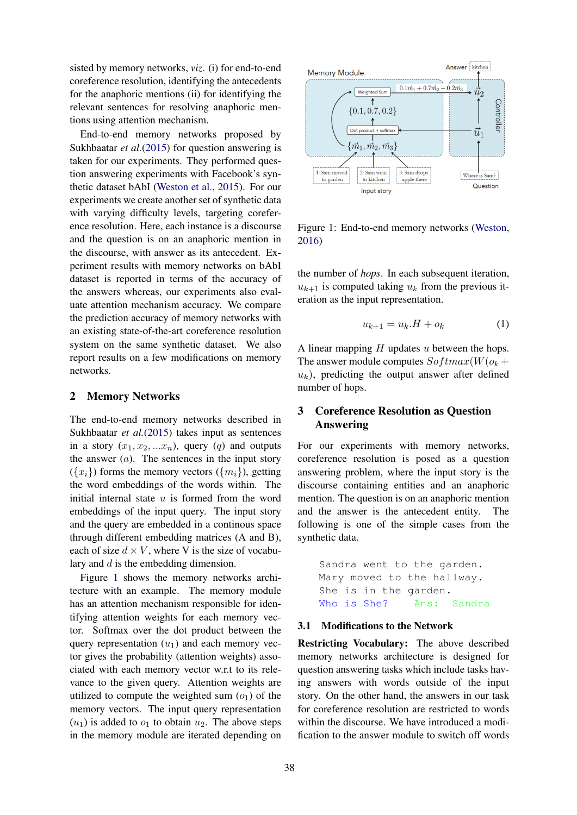sisted by memory networks, *viz*. (i) for end-to-end coreference resolution, identifying the antecedents for the anaphoric mentions (ii) for identifying the relevant sentences for resolving anaphoric mentions using attention mechanism.

End-to-end memory networks proposed by Sukhbaatar *et al.*(2015) for question answering is taken for our experiments. They performed question answering experiments with Facebook's synthetic dataset bAbI (Weston et al., 2015). For our experiments we create another set of synthetic data with varying difficulty levels, targeting coreference resolution. Here, each instance is a discourse and the question is on an anaphoric mention in the discourse, with answer as its antecedent. Experiment results with memory networks on bAbI dataset is reported in terms of the accuracy of the answers whereas, our experiments also evaluate attention mechanism accuracy. We compare the prediction accuracy of memory networks with an existing state-of-the-art coreference resolution system on the same synthetic dataset. We also report results on a few modifications on memory networks.

## 2 Memory Networks

The end-to-end memory networks described in Sukhbaatar *et al.*(2015) takes input as sentences in a story  $(x_1, x_2, ... x_n)$ , query  $(q)$  and outputs the answer  $(a)$ . The sentences in the input story  $({x_i})$  forms the memory vectors  $({m_i})$ , getting the word embeddings of the words within. The initial internal state  $u$  is formed from the word embeddings of the input query. The input story and the query are embedded in a continous space through different embedding matrices (A and B), each of size  $d \times V$ , where V is the size of vocabulary and d is the embedding dimension.

Figure 1 shows the memory networks architecture with an example. The memory module has an attention mechanism responsible for identifying attention weights for each memory vector. Softmax over the dot product between the query representation  $(u_1)$  and each memory vector gives the probability (attention weights) associated with each memory vector w.r.t to its relevance to the given query. Attention weights are utilized to compute the weighted sum  $(o_1)$  of the memory vectors. The input query representation  $(u_1)$  is added to  $o_1$  to obtain  $u_2$ . The above steps in the memory module are iterated depending on



Figure 1: End-to-end memory networks (Weston, 2016)

the number of *hops*. In each subsequent iteration,  $u_{k+1}$  is computed taking  $u_k$  from the previous iteration as the input representation.

$$
u_{k+1} = u_k \cdot H + o_k \tag{1}
$$

A linear mapping  $H$  updates  $u$  between the hops. The answer module computes  $Softmax(W(o_k +$  $u_k$ ), predicting the output answer after defined number of hops.

# 3 Coreference Resolution as Question Answering

For our experiments with memory networks, coreference resolution is posed as a question answering problem, where the input story is the discourse containing entities and an anaphoric mention. The question is on an anaphoric mention and the answer is the antecedent entity. The following is one of the simple cases from the synthetic data.

```
Sandra went to the garden.
Mary moved to the hallway.
She is in the garden.
Who is She? Ans: Sandra
```
### 3.1 Modifications to the Network

Restricting Vocabulary: The above described memory networks architecture is designed for question answering tasks which include tasks having answers with words outside of the input story. On the other hand, the answers in our task for coreference resolution are restricted to words within the discourse. We have introduced a modification to the answer module to switch off words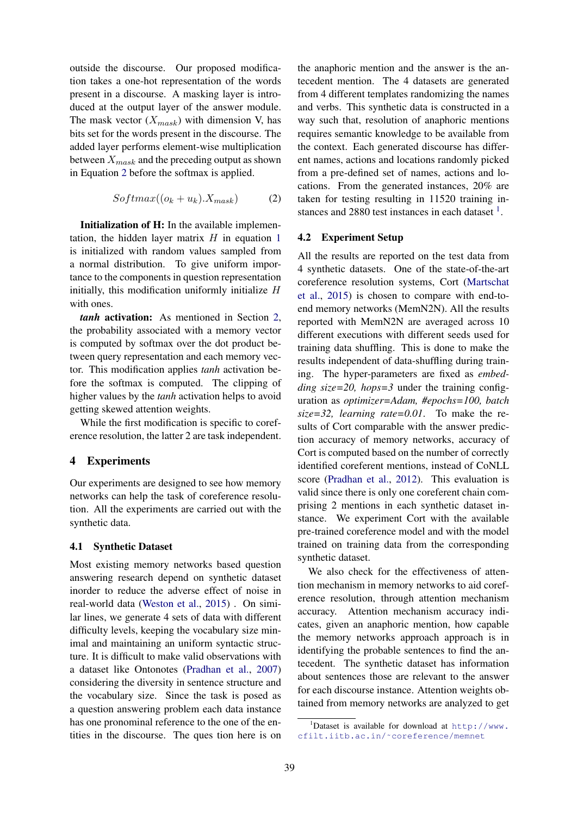outside the discourse. Our proposed modification takes a one-hot representation of the words present in a discourse. A masking layer is introduced at the output layer of the answer module. The mask vector  $(X_{mask})$  with dimension V, has bits set for the words present in the discourse. The added layer performs element-wise multiplication between  $X_{mask}$  and the preceding output as shown in Equation 2 before the softmax is applied.

$$
Softmax((o_k + u_k).X_{mask})
$$
 (2)

Initialization of H: In the available implementation, the hidden layer matrix  $H$  in equation 1 is initialized with random values sampled from a normal distribution. To give uniform importance to the components in question representation initially, this modification uniformly initialize  $H$ with ones.

*tanh* activation: As mentioned in Section 2, the probability associated with a memory vector is computed by softmax over the dot product between query representation and each memory vector. This modification applies *tanh* activation before the softmax is computed. The clipping of higher values by the *tanh* activation helps to avoid getting skewed attention weights.

While the first modification is specific to coreference resolution, the latter 2 are task independent.

## 4 Experiments

Our experiments are designed to see how memory networks can help the task of coreference resolution. All the experiments are carried out with the synthetic data.

### 4.1 Synthetic Dataset

Most existing memory networks based question answering research depend on synthetic dataset inorder to reduce the adverse effect of noise in real-world data (Weston et al., 2015) . On similar lines, we generate 4 sets of data with different difficulty levels, keeping the vocabulary size minimal and maintaining an uniform syntactic structure. It is difficult to make valid observations with a dataset like Ontonotes (Pradhan et al., 2007) considering the diversity in sentence structure and the vocabulary size. Since the task is posed as a question answering problem each data instance has one pronominal reference to the one of the entities in the discourse. The ques tion here is on

the anaphoric mention and the answer is the antecedent mention. The 4 datasets are generated from 4 different templates randomizing the names and verbs. This synthetic data is constructed in a way such that, resolution of anaphoric mentions requires semantic knowledge to be available from the context. Each generated discourse has different names, actions and locations randomly picked from a pre-defined set of names, actions and locations. From the generated instances, 20% are taken for testing resulting in 11520 training instances and  $2880$  test instances in each dataset  $<sup>1</sup>$ .</sup>

### 4.2 Experiment Setup

All the results are reported on the test data from 4 synthetic datasets. One of the state-of-the-art coreference resolution systems, Cort (Martschat et al., 2015) is chosen to compare with end-toend memory networks (MemN2N). All the results reported with MemN2N are averaged across 10 different executions with different seeds used for training data shuffling. This is done to make the results independent of data-shuffling during training. The hyper-parameters are fixed as *embedding size=20, hops=3* under the training configuration as *optimizer=Adam, #epochs=100, batch size=32, learning rate=0.01*. To make the results of Cort comparable with the answer prediction accuracy of memory networks, accuracy of Cort is computed based on the number of correctly identified coreferent mentions, instead of CoNLL score (Pradhan et al., 2012). This evaluation is valid since there is only one coreferent chain comprising 2 mentions in each synthetic dataset instance. We experiment Cort with the available pre-trained coreference model and with the model trained on training data from the corresponding synthetic dataset.

We also check for the effectiveness of attention mechanism in memory networks to aid coreference resolution, through attention mechanism accuracy. Attention mechanism accuracy indicates, given an anaphoric mention, how capable the memory networks approach approach is in identifying the probable sentences to find the antecedent. The synthetic dataset has information about sentences those are relevant to the answer for each discourse instance. Attention weights obtained from memory networks are analyzed to get

 $1$ Dataset is available for download at http://www. cfilt.iitb.ac.in/˜coreference/memnet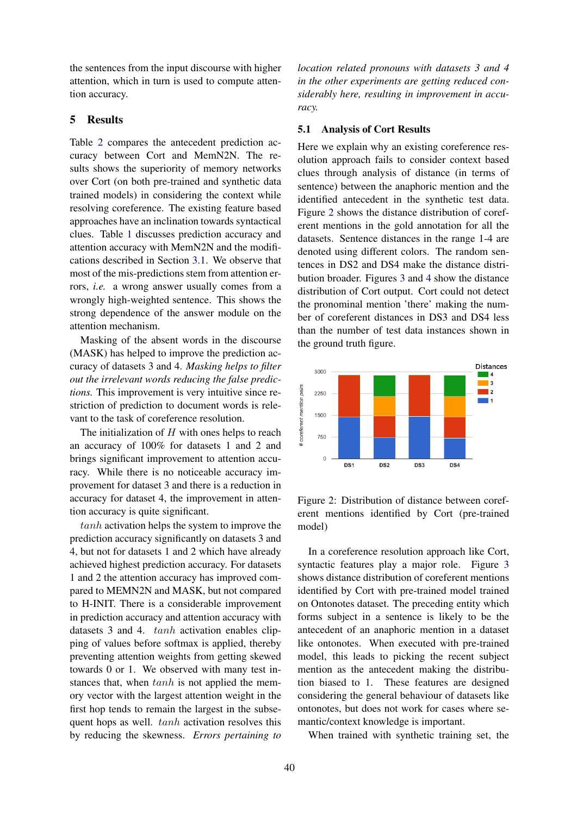the sentences from the input discourse with higher attention, which in turn is used to compute attention accuracy.

### 5 Results

Table 2 compares the antecedent prediction accuracy between Cort and MemN2N. The results shows the superiority of memory networks over Cort (on both pre-trained and synthetic data trained models) in considering the context while resolving coreference. The existing feature based approaches have an inclination towards syntactical clues. Table 1 discusses prediction accuracy and attention accuracy with MemN2N and the modifications described in Section 3.1. We observe that most of the mis-predictions stem from attention errors, *i.e.* a wrong answer usually comes from a wrongly high-weighted sentence. This shows the strong dependence of the answer module on the attention mechanism.

Masking of the absent words in the discourse (MASK) has helped to improve the prediction accuracy of datasets 3 and 4. *Masking helps to filter out the irrelevant words reducing the false predictions.* This improvement is very intuitive since restriction of prediction to document words is relevant to the task of coreference resolution.

The initialization of  $H$  with ones helps to reach an accuracy of 100% for datasets 1 and 2 and brings significant improvement to attention accuracy. While there is no noticeable accuracy improvement for dataset 3 and there is a reduction in accuracy for dataset 4, the improvement in attention accuracy is quite significant.

tanh activation helps the system to improve the prediction accuracy significantly on datasets 3 and 4, but not for datasets 1 and 2 which have already achieved highest prediction accuracy. For datasets 1 and 2 the attention accuracy has improved compared to MEMN2N and MASK, but not compared to H-INIT. There is a considerable improvement in prediction accuracy and attention accuracy with datasets 3 and 4. tanh activation enables clipping of values before softmax is applied, thereby preventing attention weights from getting skewed towards 0 or 1. We observed with many test instances that, when  $tanh$  is not applied the memory vector with the largest attention weight in the first hop tends to remain the largest in the subsequent hops as well. tanh activation resolves this by reducing the skewness. *Errors pertaining to* *location related pronouns with datasets 3 and 4 in the other experiments are getting reduced considerably here, resulting in improvement in accuracy.*

#### 5.1 Analysis of Cort Results

Here we explain why an existing coreference resolution approach fails to consider context based clues through analysis of distance (in terms of sentence) between the anaphoric mention and the identified antecedent in the synthetic test data. Figure 2 shows the distance distribution of coreferent mentions in the gold annotation for all the datasets. Sentence distances in the range 1-4 are denoted using different colors. The random sentences in DS2 and DS4 make the distance distribution broader. Figures 3 and 4 show the distance distribution of Cort output. Cort could not detect the pronominal mention 'there' making the number of coreferent distances in DS3 and DS4 less than the number of test data instances shown in the ground truth figure.



Figure 2: Distribution of distance between coreferent mentions identified by Cort (pre-trained model)

In a coreference resolution approach like Cort, syntactic features play a major role. Figure 3 shows distance distribution of coreferent mentions identified by Cort with pre-trained model trained on Ontonotes dataset. The preceding entity which forms subject in a sentence is likely to be the antecedent of an anaphoric mention in a dataset like ontonotes. When executed with pre-trained model, this leads to picking the recent subject mention as the antecedent making the distribution biased to 1. These features are designed considering the general behaviour of datasets like ontonotes, but does not work for cases where semantic/context knowledge is important.

When trained with synthetic training set, the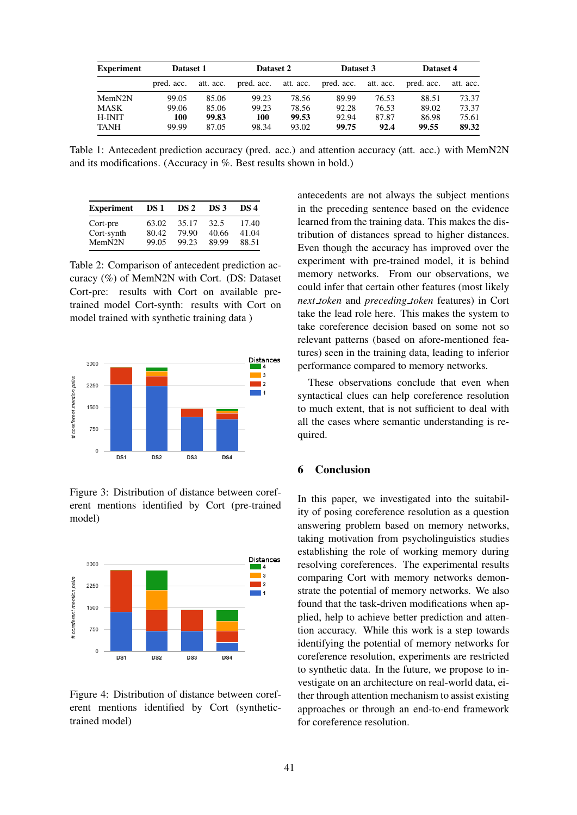| <b>Experiment</b> | Dataset 1  |           | Dataset 2            |       | Dataset 3  |           | Dataset 4  |           |
|-------------------|------------|-----------|----------------------|-------|------------|-----------|------------|-----------|
|                   | pred. acc. | att. acc. | pred. acc. att. acc. |       | pred. acc. | att. acc. | pred. acc. | att. acc. |
| MemN2N            | 99.05      | 85.06     | 99.23                | 78.56 | 89.99      | 76.53     | 88.51      | 73.37     |
| MASK              | 99.06      | 85.06     | 99.23                | 78.56 | 92.28      | 76.53     | 89.02      | 73.37     |
| H-INIT            | 100        | 99.83     | 100                  | 99.53 | 92.94      | 87.87     | 86.98      | 75.61     |
| <b>TANH</b>       | 99.99      | 87.05     | 98.34                | 93.02 | 99.75      | 92.4      | 99.55      | 89.32     |

Table 1: Antecedent prediction accuracy (pred. acc.) and attention accuracy (att. acc.) with MemN2N and its modifications. (Accuracy in %. Best results shown in bold.)

| <b>Experiment</b> | DS 1  | DS 2  | DS 3  | DS 4  |
|-------------------|-------|-------|-------|-------|
| Cort-pre          | 63.02 | 35.17 | 32.5  | 17.40 |
| Cort-synth        | 80.42 | 79.90 | 40.66 | 41.04 |
| MemN2N            | 99.05 | 99.23 | 89.99 | 88.51 |

Table 2: Comparison of antecedent prediction accuracy (%) of MemN2N with Cort. (DS: Dataset Cort-pre: results with Cort on available pretrained model Cort-synth: results with Cort on model trained with synthetic training data )



Figure 3: Distribution of distance between coreferent mentions identified by Cort (pre-trained model)



Figure 4: Distribution of distance between coreferent mentions identified by Cort (synthetictrained model)

antecedents are not always the subject mentions in the preceding sentence based on the evidence learned from the training data. This makes the distribution of distances spread to higher distances. Even though the accuracy has improved over the experiment with pre-trained model, it is behind memory networks. From our observations, we could infer that certain other features (most likely *next token* and *preceding token* features) in Cort take the lead role here. This makes the system to take coreference decision based on some not so relevant patterns (based on afore-mentioned features) seen in the training data, leading to inferior performance compared to memory networks.

These observations conclude that even when syntactical clues can help coreference resolution to much extent, that is not sufficient to deal with all the cases where semantic understanding is required.

## 6 Conclusion

In this paper, we investigated into the suitability of posing coreference resolution as a question answering problem based on memory networks, taking motivation from psycholinguistics studies establishing the role of working memory during resolving coreferences. The experimental results comparing Cort with memory networks demonstrate the potential of memory networks. We also found that the task-driven modifications when applied, help to achieve better prediction and attention accuracy. While this work is a step towards identifying the potential of memory networks for coreference resolution, experiments are restricted to synthetic data. In the future, we propose to investigate on an architecture on real-world data, either through attention mechanism to assist existing approaches or through an end-to-end framework for coreference resolution.